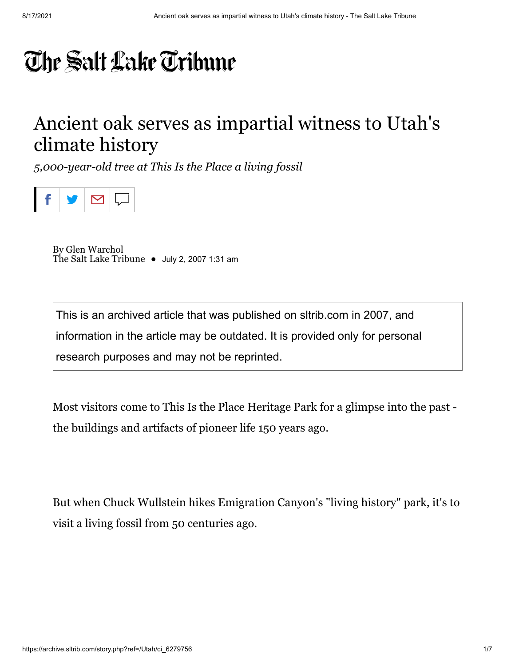## The Salt Lake Tribune

## Ancient oak serves as impartial witness to Utah's climate history

*5,000-year-old tree at This Is the Place a living fossil*



By Glen Warchol The Salt Lake Tribune • July 2, 2007 1:31 am

This is an archived article that was published on sltrib.com in 2007, and information in the article may be outdated. It is provided only for personal research purposes and may not be reprinted.

Most visitors come to This Is the Place Heritage Park for a glimpse into the past the buildings and artifacts of pioneer life 150 years ago.

But when Chuck Wullstein hikes Emigration Canyon's "living history" park, it's to visit a living fossil from 50 centuries ago.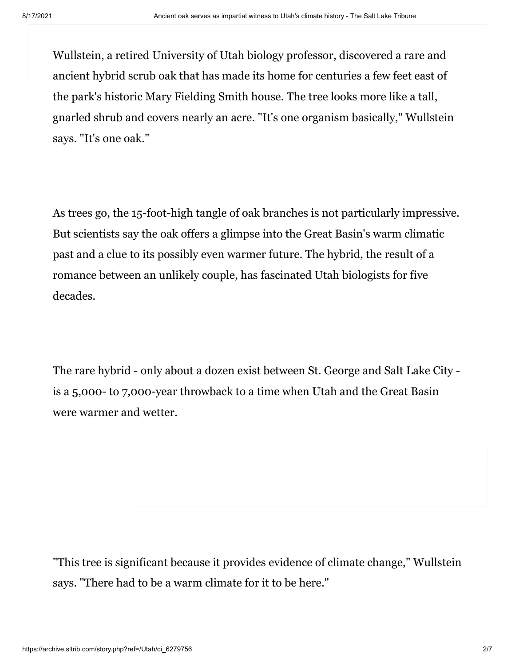Wullstein, a retired University of Utah biology professor, discovered a rare and ancient hybrid scrub oak that has made its home for centuries a few feet east of the park's historic Mary Fielding Smith house. The tree looks more like a tall, gnarled shrub and covers nearly an acre. "It's one organism basically," Wullstein says. "It's one oak."

As trees go, the 15-foot-high tangle of oak branches is not particularly impressive. But scientists say the oak offers a glimpse into the Great Basin's warm climatic past and a clue to its possibly even warmer future. The hybrid, the result of a romance between an unlikely couple, has fascinated Utah biologists for five decades.

The rare hybrid - only about a dozen exist between St. George and Salt Lake City is a 5,000- to 7,000-year throwback to a time when Utah and the Great Basin were warmer and wetter.

"This tree is significant because it provides evidence of climate change," Wullstein says. "There had to be a warm climate for it to be here."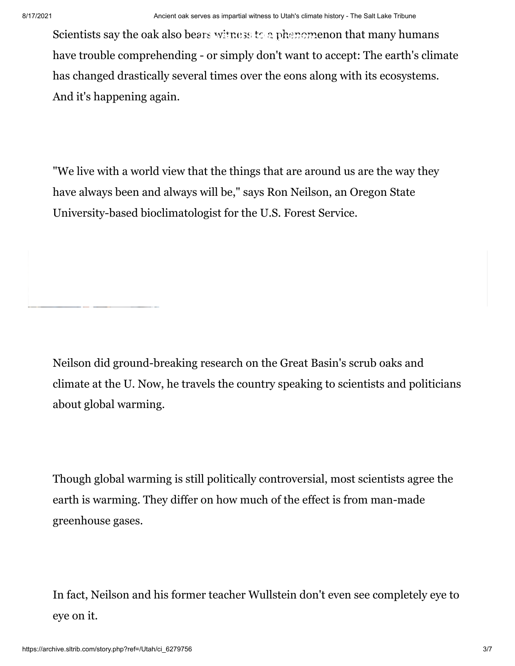Scientists say the oak also bears witness to a phenomenon that many humans have trouble comprehending - or simply don't want to accept: The earth's climate has changed drastically several times over the eons along with its ecosystems. And it's happening again.

"We live with a world view that the things that are around us are the way they have always been and always will be," says Ron Neilson, an Oregon State University-based bioclimatologist for the U.S. Forest Service.

Neilson did ground-breaking research on the Great Basin's scrub oaks and climate at the U. Now, he travels the country speaking to scientists and politicians about global warming.

Though global warming is still politically controversial, most scientists agree the earth is warming. They differ on how much of the effect is from man-made greenhouse gases.

In fact, Neilson and his former teacher Wullstein don't even see completely eye to eye on it.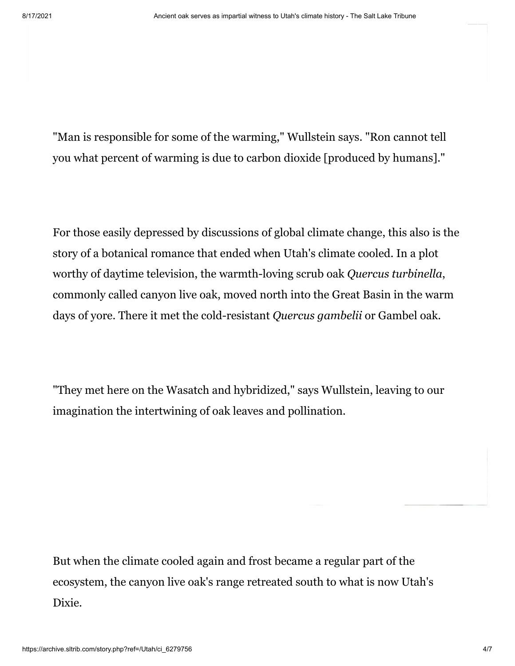"Man is responsible for some of the warming," Wullstein says. "Ron cannot tell you what percent of warming is due to carbon dioxide [produced by humans]."

For those easily depressed by discussions of global climate change, this also is the story of a botanical romance that ended when Utah's climate cooled. In a plot worthy of daytime television, the warmth-loving scrub oak *Quercus turbinella*, commonly called canyon live oak, moved north into the Great Basin in the warm days of yore. There it met the cold-resistant *Quercus gambelii* or Gambel oak.

"They met here on the Wasatch and hybridized," says Wullstein, leaving to our imagination the intertwining of oak leaves and pollination.

But when the climate cooled again and frost became a regular part of the ecosystem, the canyon live oak's range retreated south to what is now Utah's Dixie.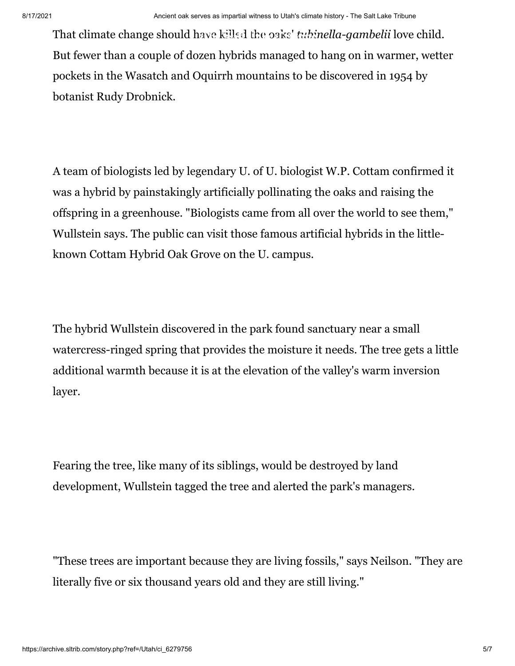That climate change should have killed the oaks' *tubinella-gambelii* love child. But fewer than a couple of dozen hybrids managed to hang on in warmer, wetter pockets in the Wasatch and Oquirrh mountains to be discovered in 1954 by botanist Rudy Drobnick.

A team of biologists led by legendary U. of U. biologist W.P. Cottam confirmed it was a hybrid by painstakingly artificially pollinating the oaks and raising the offspring in a greenhouse. "Biologists came from all over the world to see them," Wullstein says. The public can visit those famous artificial hybrids in the littleknown Cottam Hybrid Oak Grove on the U. campus.

The hybrid Wullstein discovered in the park found sanctuary near a small watercress-ringed spring that provides the moisture it needs. The tree gets a little additional warmth because it is at the elevation of the valley's warm inversion layer.

Fearing the tree, like many of its siblings, would be destroyed by land development, Wullstein tagged the tree and alerted the park's managers.

"These trees are important because they are living fossils," says Neilson. "They are literally five or six thousand years old and they are still living."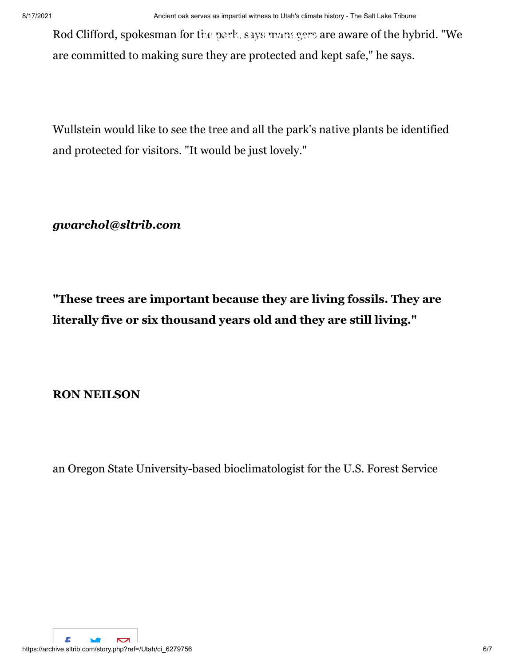Rod Clifford, spokesman for the park, says managers are aware of the hybrid. "We are committed to making sure they are protected and kept safe," he says.

Wullstein would like to see the tree and all the park's native plants be identified and protected for visitors. "It would be just lovely."

*[gwarchol@sltrib.com](mailto:gwarchol@sltrib.com)*

**"These trees are important because they are living fossils. They are literally five or six thousand years old and they are still living."**

**RON NEILSON**

an Oregon State University-based bioclimatologist for the U.S. Forest Service